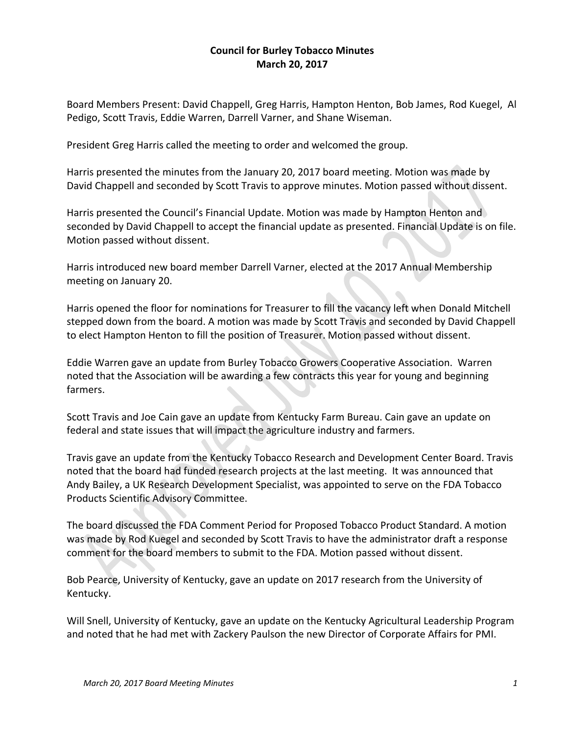## **Council for Burley Tobacco Minutes March 20, 2017**

Board Members Present: David Chappell, Greg Harris, Hampton Henton, Bob James, Rod Kuegel, Al Pedigo, Scott Travis, Eddie Warren, Darrell Varner, and Shane Wiseman.

President Greg Harris called the meeting to order and welcomed the group.

Harris presented the minutes from the January 20, 2017 board meeting. Motion was made by David Chappell and seconded by Scott Travis to approve minutes. Motion passed without dissent.

Harris presented the Council's Financial Update. Motion was made by Hampton Henton and seconded by David Chappell to accept the financial update as presented. Financial Update is on file. Motion passed without dissent.

Harris introduced new board member Darrell Varner, elected at the 2017 Annual Membership meeting on January 20.

Harris opened the floor for nominations for Treasurer to fill the vacancy left when Donald Mitchell stepped down from the board. A motion was made by Scott Travis and seconded by David Chappell to elect Hampton Henton to fill the position of Treasurer. Motion passed without dissent.

Eddie Warren gave an update from Burley Tobacco Growers Cooperative Association. Warren noted that the Association will be awarding a few contracts this year for young and beginning farmers.

Scott Travis and Joe Cain gave an update from Kentucky Farm Bureau. Cain gave an update on federal and state issues that will impact the agriculture industry and farmers.

Travis gave an update from the Kentucky Tobacco Research and Development Center Board. Travis noted that the board had funded research projects at the last meeting. It was announced that Andy Bailey, a UK Research Development Specialist, was appointed to serve on the FDA Tobacco Products Scientific Advisory Committee.

The board discussed the FDA Comment Period for Proposed Tobacco Product Standard. A motion was made by Rod Kuegel and seconded by Scott Travis to have the administrator draft a response comment for the board members to submit to the FDA. Motion passed without dissent.

Bob Pearce, University of Kentucky, gave an update on 2017 research from the University of Kentucky.

Will Snell, University of Kentucky, gave an update on the Kentucky Agricultural Leadership Program and noted that he had met with Zackery Paulson the new Director of Corporate Affairs for PMI.